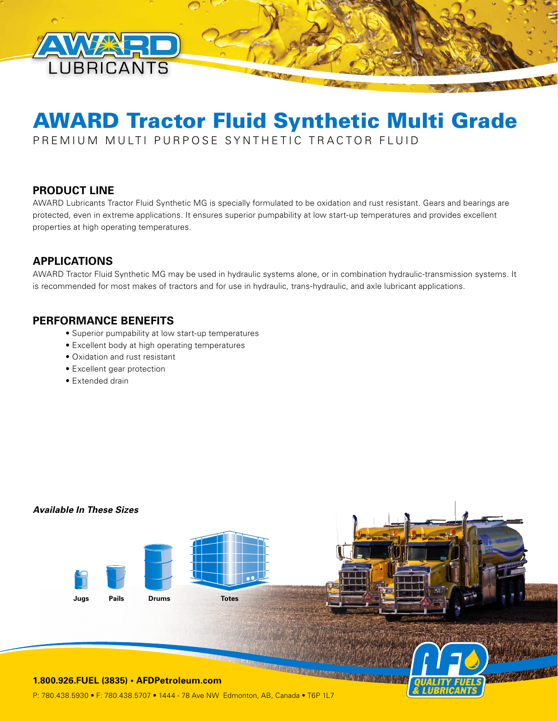

# AWARD Tractor Fluid Synthetic Multi Grade

PREMIUM MULTI PURPOSE SYNTHETIC TRACTOR FLUID

# **PRODUCT LINE**

AWARD Lubricants Tractor Fluid Synthetic MG is specially formulated to be oxidation and rust resistant. Gears and bearings are protected, even in extreme applications. It ensures superior pumpability at low start-up temperatures and provides excellent properties at high operating temperatures.

# **APPLICATIONS**

AWARD Tractor Fluid Synthetic MG may be used in hydraulic systems alone, or in combination hydraulic-transmission systems. It is recommended for most makes of tractors and for use in hydraulic, trans-hydraulic, and axle lubricant applications.

## **PERFORMANCE BENEFITS**

- Superior pumpability at low start-up temperatures
- Excellent body at high operating temperatures
- Oxidation and rust resistant
- Excellent gear protection
- Extended drain

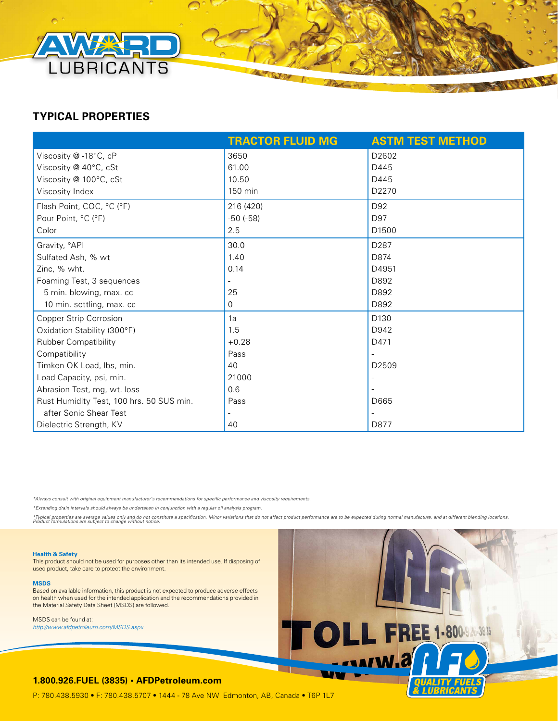

# **TYPICAL PROPERTIES**

|                                          | <b>TRACTOR FLUID MG</b> | <b>ASTM TEST METHOD</b> |
|------------------------------------------|-------------------------|-------------------------|
| Viscosity @-18°C, cP                     | 3650                    | D2602                   |
| Viscosity @ 40°C, cSt                    | 61.00                   | D445                    |
| Viscosity @ 100°C, cSt                   | 10.50                   | D445                    |
| Viscosity Index                          | 150 min                 | D2270                   |
| Flash Point, COC, °C (°F)                | 216 (420)               | D92                     |
| Pour Point, °C (°F)                      | $-50$ $(-58)$           | D97                     |
| Color                                    | 2.5                     | D <sub>1500</sub>       |
| Gravity, °API                            | 30.0                    | D287                    |
| Sulfated Ash, % wt                       | 1.40                    | D874                    |
| Zinc, % wht.                             | 0.14                    | D4951                   |
| Foaming Test, 3 sequences                |                         | D892                    |
| 5 min. blowing, max. cc                  | 25                      | D892                    |
| 10 min. settling, max. cc                | 0                       | D892                    |
| <b>Copper Strip Corrosion</b>            | 1a                      | D130                    |
| Oxidation Stability (300°F)              | 1.5                     | D942                    |
| <b>Rubber Compatibility</b>              | $+0.28$                 | D471                    |
| Compatibility                            | Pass                    |                         |
| Timken OK Load, Ibs, min.                | 40                      | D <sub>2509</sub>       |
| Load Capacity, psi, min.                 | 21000                   |                         |
| Abrasion Test, mg, wt. loss              | 0.6                     |                         |
| Rust Humidity Test, 100 hrs. 50 SUS min. | Pass                    | D665                    |
| after Sonic Shear Test                   | $\qquad \qquad -$       |                         |
| Dielectric Strength, KV                  | 40                      | D877                    |

*\*Always consult with original equipment manufacturer's recommendations for specific performance and viscosity requirements.* 

*\*Extending drain intervals should always be undertaken in conjunction with a regular oil analysis program.*

\*Typical properties are average values only and ono ronstitute a specification. Minor variations that do not affect product performance are to be expected during normal manufacture, and at different blending locations.<br>Pro



This product should not be used for purposes other than its intended use. If disposing of used product, take care to protect the environment.

**MSDS**

Based on available information, this product is not expected to produce adverse effects on health when used for the intended application and the recommendations provided in the Material Safety Data Sheet (MSDS) are followed.

MSDS can be found at: *http://www.afdpetroleum.com/MSDS.aspx*



**ALL DES** 

#### **1.800.926.FUEL (3835) • AFDPetroleum.com**

P: 780.438.5930 • F: 780.438.5707 • 1444 - 78 Ave NW Edmonton, AB, Canada • T6P 1L7